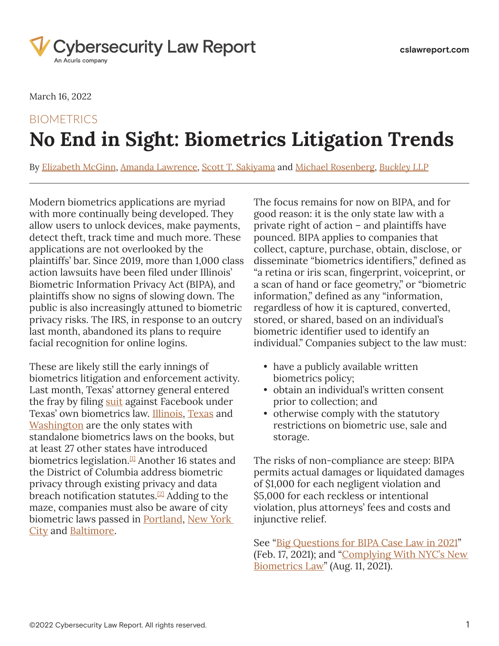

March 16, 2022

# BIOMETRICS **No End in Sight: Biometrics Litigation Trends**

By [Elizabeth McGinn](https://www.cslawreport.com/search/?tagType=People&tagName=Elizabeth+McGinn&tagID=86041), [Amanda Lawrence](https://www.cslawreport.com/search/?tagType=People&tagName=Amanda+Lawrence&tagID=128736), [Scott T. Sakiyama](https://www.cslawreport.com/search/?tagType=People&tagName=Scott+T.+Sakiyama&tagID=134311) and [Michael Rosenberg](https://www.cslawreport.com/search/?tagType=People&tagName=Michael+Rosenberg&tagID=134316), *[Buckley LLP](https://www.cslawreport.com/search/?tagType=Entities&tagName=Buckley+LLP&tagID=99331)*

Modern biometrics applications are myriad with more continually being developed. They allow users to unlock devices, make payments, detect theft, track time and much more. These applications are not overlooked by the plaintiffs' bar. Since 2019, more than 1,000 class action lawsuits have been filed under Illinois' Biometric Information Privacy Act (BIPA), and plaintiffs show no signs of slowing down. The public is also increasingly attuned to biometric privacy risks. The IRS, in response to an outcry last month, abandoned its plans to require facial recognition for online logins.

<span id="page-0-1"></span><span id="page-0-0"></span>These are likely still the early innings of biometrics litigation and enforcement activity. Last month, Texas' attorney general entered the fray by filing [suit](https://cdn.lawreportgroup.com/acuris/files/cybersecurity-law-report/State%20of%20Texas%20v_%20Meta%20Platforms%20Inc_.pdf) against Facebook under Texas' own biometrics law. [Illinois](https://cdn.lawreportgroup.com/acuris/files/cybersecurity-law-report/bipa.pdf), [Texas](https://cdn.lawreportgroup.com/acuris/files/cybersecurity-law-report/Texas%20503.pdf) and [Washington](https://cdn.lawreportgroup.com/acuris/files/cybersecurity-law-report/Washington%20Biometric.pdf) are the only states with standalone biometrics laws on the books, but at least 27 other states have introduced biometrics legislation. $\frac{1}{2}$  Another 16 states and the District of Columbia address biometric privacy through existing privacy and data breach notification statutes.<sup>[\[2\]](#page-5-1)</sup> Adding to the maze, companies must also be aware of city biometric laws passed in [Portland](https://cdn.lawreportgroup.com/acuris/files/cybersecurity-law-report/pORTLAND%20facial%20recognition.pdf), New York [City](https://cdn.lawreportgroup.com/acuris/files/cybersecurity-law-report/newyorkcity-ny-1.pdf) and [Baltimore](https://cdn.lawreportgroup.com/acuris/files/cybersecurity-law-report/Baltimore%20Facial%20recognition.pdf).

The focus remains for now on BIPA, and for good reason: it is the only state law with a private right of action – and plaintiffs have pounced. BIPA applies to companies that collect, capture, purchase, obtain, disclose, or disseminate "biometrics identifiers," defined as "a retina or iris scan, fingerprint, voiceprint, or a scan of hand or face geometry," or "biometric information," defined as any "information, regardless of how it is captured, converted, stored, or shared, based on an individual's biometric identifier used to identify an individual." Companies subject to the law must:

- have a publicly available written biometrics policy;
- obtain an individual's written consent prior to collection; and
- otherwise comply with the statutory restrictions on biometric use, sale and storage.

The risks of non-compliance are steep: BIPA permits actual damages or liquidated damages of \$1,000 for each negligent violation and \$5,000 for each reckless or intentional violation, plus attorneys' fees and costs and injunctive relief.

See "[Big Questions for BIPA Case Law in 2021](https://www.cslawreport.com/8435776/big-questions-for-bipa-case-law-in-2021.thtml)" (Feb. 17, 2021); and "[Complying With NYC's New](https://www.cslawreport.com/9143356/complying-with-nycs-new-biometrics-law.thtml)  [Biometrics Law](https://www.cslawreport.com/9143356/complying-with-nycs-new-biometrics-law.thtml)" (Aug. 11, 2021).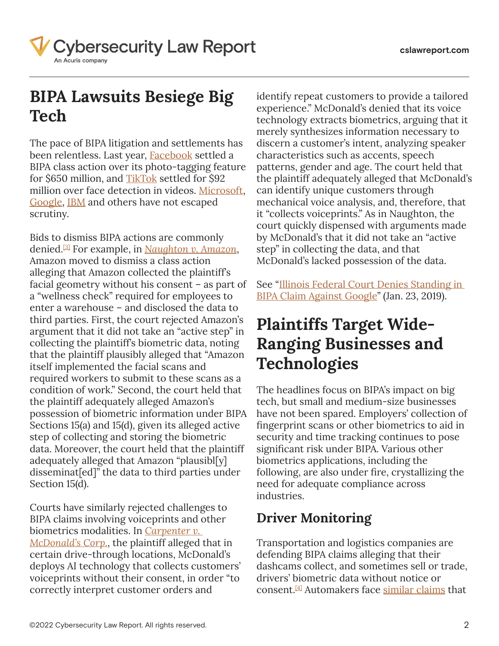

## **BIPA Lawsuits Besiege Big Tech**

The pace of BIPA litigation and settlements has been relentless. Last year, **[Facebook](https://cdn.lawreportgroup.com/acuris/files/cybersecurity-law-report/In%20re%20Facebook%20Biometric%20Info_%20Privacy%20Litig.pdf)** settled a BIPA class action over its photo-tagging feature for \$650 million, and <u>TikTok</u> settled for \$92 million over face detection in videos. [Microsoft](https://cdn.lawreportgroup.com/acuris/files/cybersecurity-law-report/Vance%20v_%20Microsoft%20Corp.pdf), [Google](https://cdn.lawreportgroup.com/acuris/files/cybersecurity-law-report/industrymaterials/Rivera%20v_%20Google.pdf), [IBM](https://cdn.lawreportgroup.com/acuris/files/cybersecurity-law-report/Vance%20v_%20Int) and others have not escaped scrutiny.

<span id="page-1-0"></span>Bids to dismiss BIPA actions are commonly denied[.\[3\]](#page-5-2) For example, in *[Naughton v. Amazon](https://cdn.lawreportgroup.com/acuris/files/cybersecurity-law-report/Naughton%20v_%20Amazon_com%2C%20Inc.pdf)*, Amazon moved to dismiss a class action alleging that Amazon collected the plaintiff's facial geometry without his consent – as part of a "wellness check" required for employees to enter a warehouse – and disclosed the data to third parties. First, the court rejected Amazon's argument that it did not take an "active step" in collecting the plaintiff's biometric data, noting that the plaintiff plausibly alleged that "Amazon itself implemented the facial scans and required workers to submit to these scans as a condition of work." Second, the court held that the plaintiff adequately alleged Amazon's possession of biometric information under BIPA Sections 15(a) and 15(d), given its alleged active step of collecting and storing the biometric data. Moreover, the court held that the plaintiff adequately alleged that Amazon "plausibl[y] disseminat[ed]" the data to third parties under Section 15(d).

Courts have similarly rejected challenges to BIPA claims involving voiceprints and other biometrics modalities. In *[Carpenter v.](https://cdn.lawreportgroup.com/acuris/files/cybersecurity-law-report/carpenter-v-mcdonalds-corporation.pdf)  [McDonald's Corp.](https://cdn.lawreportgroup.com/acuris/files/cybersecurity-law-report/carpenter-v-mcdonalds-corporation.pdf)*, the plaintiff alleged that in certain drive-through locations, McDonald's deploys AI technology that collects customers' voiceprints without their consent, in order "to correctly interpret customer orders and

identify repeat customers to provide a tailored experience." McDonald's denied that its voice technology extracts biometrics, arguing that it merely synthesizes information necessary to discern a customer's intent, analyzing speaker characteristics such as accents, speech patterns, gender and age. The court held that the plaintiff adequately alleged that McDonald's can identify unique customers through mechanical voice analysis, and, therefore, that it "collects voiceprints." As in Naughton, the court quickly dispensed with arguments made by McDonald's that it did not take an "active step" in collecting the data, and that McDonald's lacked possession of the data.

See "[Illinois Federal Court Denies Standing in](https://www.cslawreport.com/2651831/illinois-federal-court-denies-standing-in-bipa-claim-against-google.thtml)  [BIPA Claim Against Google"](https://www.cslawreport.com/2651831/illinois-federal-court-denies-standing-in-bipa-claim-against-google.thtml) (Jan. 23, 2019).

### **Plaintiffs Target Wide-Ranging Businesses and Technologies**

The headlines focus on BIPA's impact on big tech, but small and medium-size businesses have not been spared. Employers' collection of fingerprint scans or other biometrics to aid in security and time tracking continues to pose significant risk under BIPA. Various other biometrics applications, including the following, are also under fire, crystallizing the need for adequate compliance across industries.

#### **Driver Monitoring**

<span id="page-1-1"></span>Transportation and logistics companies are defending BIPA claims alleging that their dashcams collect, and sometimes sell or trade, drivers' biometric data without notice or consent[.\[4\]](#page-5-3) Automakers face [similar claims](https://cdn.lawreportgroup.com/acuris/files/cybersecurity-law-report/giron_v_subaru.pdf) that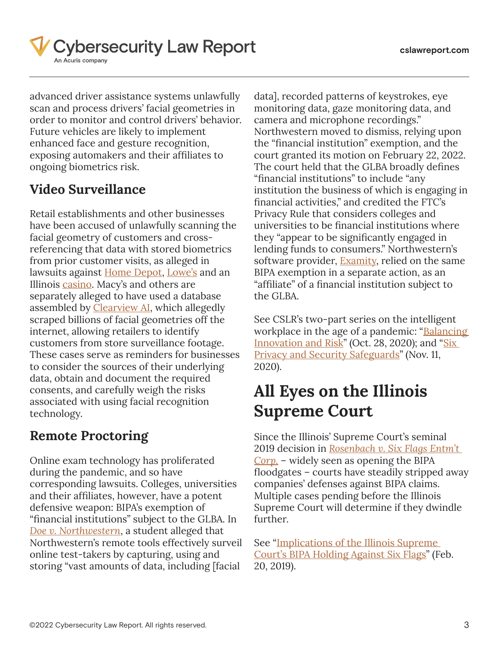

advanced driver assistance systems unlawfully scan and process drivers' facial geometries in order to monitor and control drivers' behavior. Future vehicles are likely to implement enhanced face and gesture recognition, exposing automakers and their affiliates to ongoing biometrics risk.

### **Video Surveillance**

Retail establishments and other businesses have been accused of unlawfully scanning the facial geometry of customers and crossreferencing that data with stored biometrics from prior customer visits, as alleged in lawsuits against [Home Depot,](https://cdn.lawreportgroup.com/acuris/files/cybersecurity-law-report/brunson-et-al-v-the-home-depot-inc.pdf) [Lowe's](https://cdn.lawreportgroup.com/acuris/files/cybersecurity-law-report/blair-et-al-v-lowes-home-centers-llc.pdf) and an Illinois [casino.](https://cdn.lawreportgroup.com/acuris/files/cybersecurity-law-report/ilsd_3_7_cv_447_789930_0.pdf) Macy's and others are separately alleged to have used a database assembled by [Clearview AI](https://cdn.lawreportgroup.com/acuris/files/cybersecurity-law-report/USCOURTS-ilnd-1_21-cv-00135-0.pdf), which allegedly scraped billions of facial geometries off the internet, allowing retailers to identify customers from store surveillance footage. These cases serve as reminders for businesses to consider the sources of their underlying data, obtain and document the required consents, and carefully weigh the risks associated with using facial recognition technology.

#### **Remote Proctoring**

Online exam technology has proliferated during the pandemic, and so have corresponding lawsuits. Colleges, universities and their affiliates, however, have a potent defensive weapon: BIPA's exemption of "financial institutions" subject to the GLBA. In *[Doe v. Northwestern](https://cdn.lawreportgroup.com/acuris/files/cybersecurity-law-report/2021ch404.pdf)*, a student alleged that Northwestern's remote tools effectively surveil online test-takers by capturing, using and storing "vast amounts of data, including [facial

data], recorded patterns of keystrokes, eye monitoring data, gaze monitoring data, and camera and microphone recordings." Northwestern moved to dismiss, relying upon the "financial institution" exemption, and the court granted its motion on February 22, 2022. The court held that the GLBA broadly defines "financial institutions" to include "any institution the business of which is engaging in financial activities," and credited the FTC's Privacy Rule that considers colleges and universities to be financial institutions where they "appear to be significantly engaged in lending funds to consumers." Northwestern's software provider, **Examity**, relied on the same BIPA exemption in a separate action, as an "affiliate" of a financial institution subject to the GLBA.

See CSLR's two-part series on the intelligent workplace in the age of a pandemic: "Balancing [Innovation and Risk"](https://www.cslawreport.com/7855911/the-intelligent-workplace-in-the-age-of-a-pandemic-balancing-innovation-and-risk.thtml) (Oct. 28, 2020); and "Six [Privacy and Security Safeguards"](https://www.cslawreport.com/7915831/the-intelligent-workplace-in-the-age-of-a-pandemic-six-privacy-and-security-safeguards.thtml) (Nov. 11, 2020).

## **All Eyes on the Illinois Supreme Court**

Since the Illinois' Supreme Court's seminal 2019 decision in *[Rosenbach v. Six Flags Entm't](https://cdn.lawreportgroup.com/acuris/files/cybersecurity-law-report/123186.pdf)  [Corp.](https://cdn.lawreportgroup.com/acuris/files/cybersecurity-law-report/123186.pdf)* – widely seen as opening the BIPA floodgates – courts have steadily stripped away companies' defenses against BIPA claims. Multiple cases pending before the Illinois Supreme Court will determine if they dwindle further.

See "[Implications of the Illinois Supreme](https://www.cslawreport.com/2669596/implications-of-the-illinois-supreme-courts-bipa-holding-against-six-flags.thtml)  [Court's BIPA Holding Against Six Flags](https://www.cslawreport.com/2669596/implications-of-the-illinois-supreme-courts-bipa-holding-against-six-flags.thtml)" (Feb. 20, 2019).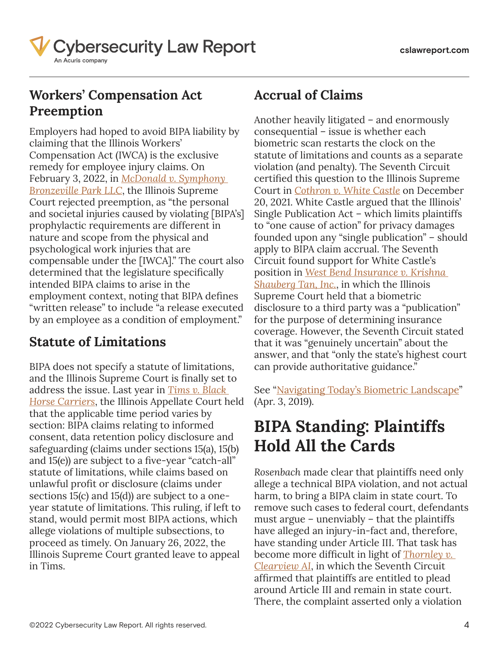

### **Workers' Compensation Act Preemption**

Employers had hoped to avoid BIPA liability by claiming that the Illinois Workers' Compensation Act (IWCA) is the exclusive remedy for employee injury claims. On February 3, 2022, in *[McDonald v. Symphony](https://cdn.lawreportgroup.com/acuris/files/cybersecurity-law-report/McDonald%20v_%20Symphony%20Bronzeville%20Park%2C%20LLC%2C%202022%20IL%20126511.pdf)  [Bronzeville Park LLC](https://cdn.lawreportgroup.com/acuris/files/cybersecurity-law-report/McDonald%20v_%20Symphony%20Bronzeville%20Park%2C%20LLC%2C%202022%20IL%20126511.pdf)*, the Illinois Supreme Court rejected preemption, as "the personal and societal injuries caused by violating [BIPA's] prophylactic requirements are different in nature and scope from the physical and psychological work injuries that are compensable under the [IWCA]." The court also determined that the legislature specifically intended BIPA claims to arise in the employment context, noting that BIPA defines "written release" to include "a release executed by an employee as a condition of employment."

#### **Statute of Limitations**

BIPA does not specify a statute of limitations, and the Illinois Supreme Court is finally set to address the issue. Last year in *[Tims v. Black](https://cdn.lawreportgroup.com/acuris/files/cybersecurity-law-report/tims.pdf)  [Horse Carriers](https://cdn.lawreportgroup.com/acuris/files/cybersecurity-law-report/tims.pdf)*, the Illinois Appellate Court held that the applicable time period varies by section: BIPA claims relating to informed consent, data retention policy disclosure and safeguarding (claims under sections 15(a), 15(b) and 15(e)) are subject to a five-year "catch-all" statute of limitations, while claims based on unlawful profit or disclosure (claims under sections 15(c) and 15(d)) are subject to a oneyear statute of limitations. This ruling, if left to stand, would permit most BIPA actions, which allege violations of multiple subsections, to proceed as timely. On January 26, 2022, the Illinois Supreme Court granted leave to appeal in Tims.

#### **Accrual of Claims**

Another heavily litigated – and enormously consequential – issue is whether each biometric scan restarts the clock on the statute of limitations and counts as a separate violation (and penalty). The Seventh Circuit certified this question to the Illinois Supreme Court in *[Cothron v. White Castle](https://cdn.lawreportgroup.com/acuris/files/cybersecurity-law-report/20-3202-2021-12-20.pdf)* on December 20, 2021. White Castle argued that the Illinois' Single Publication Act – which limits plaintiffs to "one cause of action" for privacy damages founded upon any "single publication" – should apply to BIPA claim accrual. The Seventh Circuit found support for White Castle's position in *[West Bend Insurance v. Krishna](https://cdn.lawreportgroup.com/acuris/files/cybersecurity-law-report/2021-125978.pdf)  [Shauberg Tan, Inc.](https://cdn.lawreportgroup.com/acuris/files/cybersecurity-law-report/2021-125978.pdf)*, in which the Illinois Supreme Court held that a biometric disclosure to a third party was a "publication" for the purpose of determining insurance coverage. However, the Seventh Circuit stated that it was "genuinely uncertain" about the answer, and that "only the state's highest court can provide authoritative guidance."

See "[Navigating Today's Biometric Landscape](https://www.cslawreport.com/2701246/navigating-todays-biometric-landscape.thtml)" (Apr. 3, 2019).

### **BIPA Standing: Plaintiffs Hold All the Cards**

*Rosenbach* made clear that plaintiffs need only allege a technical BIPA violation, and not actual harm, to bring a BIPA claim in state court. To remove such cases to federal court, defendants must argue – unenviably – that the plaintiffs have alleged an injury-in-fact and, therefore, have standing under Article III. That task has become more difficult in light of *[Thornley v.](https://cdn.lawreportgroup.com/acuris/files/cybersecurity-law-report/20-3249-2021-01-14.pdf)  [Clearview AI](https://cdn.lawreportgroup.com/acuris/files/cybersecurity-law-report/20-3249-2021-01-14.pdf)*, in which the Seventh Circuit affirmed that plaintiffs are entitled to plead around Article III and remain in state court. There, the complaint asserted only a violation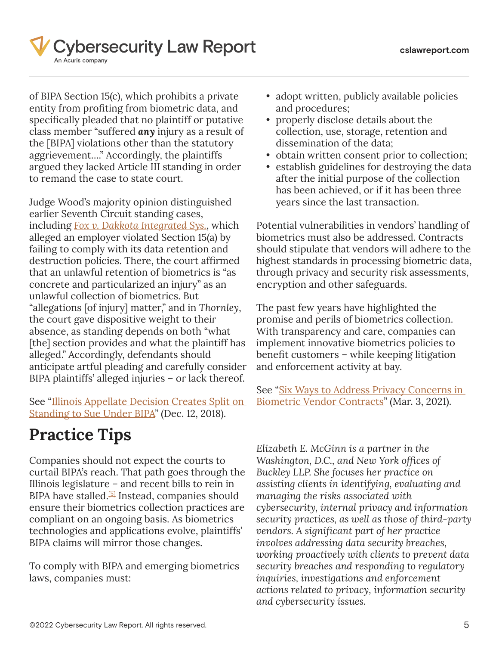

of BIPA Section 15(c), which prohibits a private entity from profiting from biometric data, and specifically pleaded that no plaintiff or putative class member "suffered *any* injury as a result of the [BIPA] violations other than the statutory aggrievement…." Accordingly, the plaintiffs argued they lacked Article III standing in order to remand the case to state court.

Judge Wood's majority opinion distinguished earlier Seventh Circuit standing cases, including *[Fox v. Dakkota Integrated Sys.](https://cdn.lawreportgroup.com/acuris/files/cybersecurity-law-report/20-2782-2020-11-17.pdf)*, which alleged an employer violated Section 15(a) by failing to comply with its data retention and destruction policies. There, the court affirmed that an unlawful retention of biometrics is "as concrete and particularized an injury" as an unlawful collection of biometrics. But "allegations [of injury] matter," and in *Thornley*, the court gave dispositive weight to their absence, as standing depends on both "what [the] section provides and what the plaintiff has alleged." Accordingly, defendants should anticipate artful pleading and carefully consider BIPA plaintiffs' alleged injuries – or lack thereof.

See "[Illinois Appellate Decision Creates Split on](https://www.cslawreport.com/article/864)  [Standing to Sue Under BIPA](https://www.cslawreport.com/article/864)" (Dec. 12, 2018).

# **Practice Tips**

<span id="page-4-0"></span>Companies should not expect the courts to curtail BIPA's reach. That path goes through the Illinois legislature – and recent bills to rein in BIPA have stalled.<sup>[\[5\]](#page-5-4)</sup> Instead, companies should ensure their biometrics collection practices are compliant on an ongoing basis. As biometrics technologies and applications evolve, plaintiffs' BIPA claims will mirror those changes.

To comply with BIPA and emerging biometrics laws, companies must:

- adopt written, publicly available policies and procedures;
- properly disclose details about the collection, use, storage, retention and dissemination of the data;
- obtain written consent prior to collection;
- establish guidelines for destroying the data after the initial purpose of the collection has been achieved, or if it has been three years since the last transaction.

Potential vulnerabilities in vendors' handling of biometrics must also be addressed. Contracts should stipulate that vendors will adhere to the highest standards in processing biometric data, through privacy and security risk assessments, encryption and other safeguards.

The past few years have highlighted the promise and perils of biometrics collection. With transparency and care, companies can implement innovative biometrics policies to benefit customers – while keeping litigation and enforcement activity at bay.

See "[Six Ways to Address Privacy Concerns in](https://www.cslawreport.com/8482001/six-ways-to-address-privacy-concerns-in-biometric-vendor-contracts.thtml)  [Biometric Vendor Contracts](https://www.cslawreport.com/8482001/six-ways-to-address-privacy-concerns-in-biometric-vendor-contracts.thtml)" (Mar. 3, 2021).

*Elizabeth E. McGinn is a partner in the Washington, D.C., and New York offices of Buckley LLP. She focuses her practice on assisting clients in identifying, evaluating and managing the risks associated with cybersecurity, internal privacy and information security practices, as well as those of third-party vendors. A significant part of her practice involves addressing data security breaches, working proactively with clients to prevent data security breaches and responding to regulatory inquiries, investigations and enforcement actions related to privacy, information security and cybersecurity issues.*